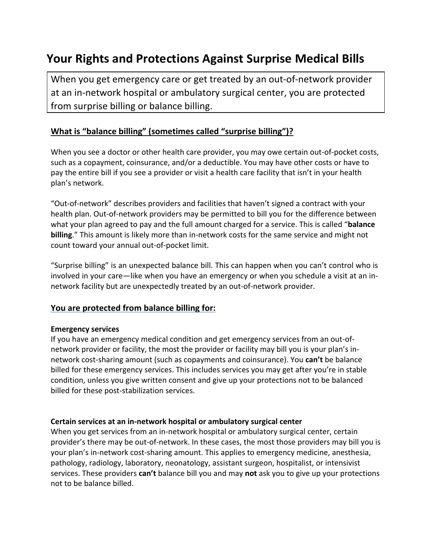# **Your Rights and Protections Against Surprise Medical Bills**

When you get emergency care or get treated by an out-of-network provider at an in-network hospital or ambulatory surgical center, you are protected from surprise billing or balance billing.

### **What is "balance billing" (sometimes called "surprise billing")?**

When you see a doctor or other health care provider, you may owe certain out-of-pocket costs, such as a copayment, coinsurance, and/or a deductible. You may have other costs or have to pay the entire bill if you see a provider or visit a health care facility that isn't in your health plan's network.

"Out-of-network" describes providers and facilities that haven't signed a contract with your health plan. Out-of-network providers may be permitted to bill you for the difference between what your plan agreed to pay and the full amount charged for a service. This is called "**balance billing**." This amount is likely more than in-network costs for the same service and might not count toward your annual out-of-pocket limit.

"Surprise billing" is an unexpected balance bill. This can happen when you can't control who is involved in your care—like when you have an emergency or when you schedule a visit at an innetwork facility but are unexpectedly treated by an out-of-network provider.

### **You are protected from balance billing for:**

#### **Emergency services**

If you have an emergency medical condition and get emergency services from an out-ofnetwork provider or facility, the most the provider or facility may bill you is your plan's innetwork cost-sharing amount (such as copayments and coinsurance). You **can't** be balance billed for these emergency services. This includes services you may get after you're in stable condition, unless you give written consent and give up your protections not to be balanced billed for these post-stabilization services.

#### **Certain services at an in-network hospital or ambulatory surgical center**

When you get services from an in-network hospital or ambulatory surgical center, certain provider's there may be out-of-network. In these cases, the most those providers may bill you is your plan's in-network cost-sharing amount. This applies to emergency medicine, anesthesia, pathology, radiology, laboratory, neonatology, assistant surgeon, hospitalist, or intensivist services. These providers **can't** balance bill you and may **not** ask you to give up your protections not to be balance billed.